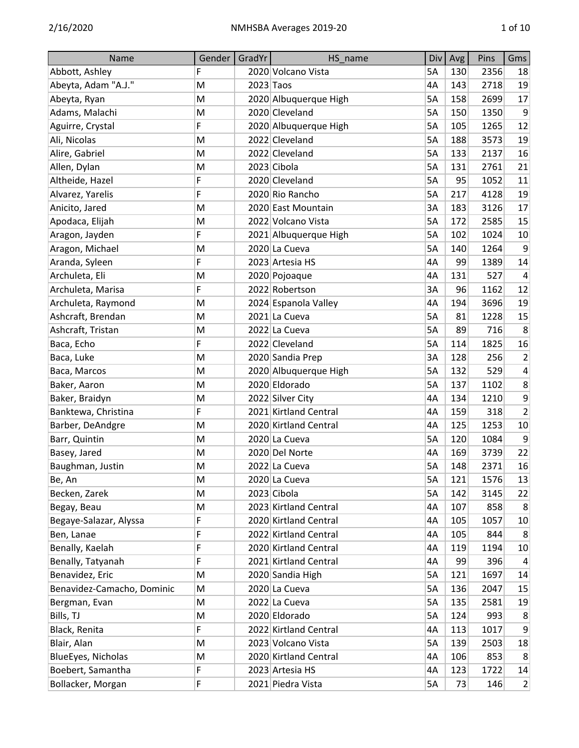| Name                       | Gender | GradYr    | HS name               | Div       | Avg | Pins | Gms              |
|----------------------------|--------|-----------|-----------------------|-----------|-----|------|------------------|
| Abbott, Ashley             | F      |           | 2020 Volcano Vista    | 5A        | 130 | 2356 | 18               |
| Abeyta, Adam "A.J."        | M      | 2023 Taos |                       | 4A        | 143 | 2718 | 19               |
| Abeyta, Ryan               | M      |           | 2020 Albuquerque High | 5A        | 158 | 2699 | 17               |
| Adams, Malachi             | M      |           | 2020 Cleveland        | <b>5A</b> | 150 | 1350 | 9                |
| Aguirre, Crystal           | F      |           | 2020 Albuquerque High | 5A        | 105 | 1265 | 12               |
| Ali, Nicolas               | M      |           | 2022 Cleveland        | <b>5A</b> | 188 | 3573 | 19               |
| Alire, Gabriel             | M      |           | 2022 Cleveland        | <b>5A</b> | 133 | 2137 | 16               |
| Allen, Dylan               | M      |           | 2023 Cibola           | 5A        | 131 | 2761 | 21               |
| Altheide, Hazel            | F      |           | 2020 Cleveland        | <b>5A</b> | 95  | 1052 | 11               |
| Alvarez, Yarelis           | F      |           | 2020 Rio Rancho       | 5A        | 217 | 4128 | 19               |
| Anicito, Jared             | M      |           | 2020 East Mountain    | 3A        | 183 | 3126 | 17               |
| Apodaca, Elijah            | M      |           | 2022 Volcano Vista    | 5A        | 172 | 2585 | 15               |
| Aragon, Jayden             | F      |           | 2021 Albuquerque High | 5A        | 102 | 1024 | 10               |
| Aragon, Michael            | M      |           | 2020 La Cueva         | <b>5A</b> | 140 | 1264 | 9                |
| Aranda, Syleen             | F      |           | 2023 Artesia HS       | 4A        | 99  | 1389 | 14               |
| Archuleta, Eli             | M      |           | 2020 Pojoaque         | 4A        | 131 | 527  | 4                |
| Archuleta, Marisa          | F      |           | 2022 Robertson        | 3A        | 96  | 1162 | 12               |
| Archuleta, Raymond         | M      |           | 2024 Espanola Valley  | 4A        | 194 | 3696 | 19               |
| Ashcraft, Brendan          | M      |           | 2021 La Cueva         | <b>5A</b> | 81  | 1228 | 15               |
| Ashcraft, Tristan          | M      |           | 2022 La Cueva         | 5A        | 89  | 716  | 8                |
| Baca, Echo                 | F      |           | 2022 Cleveland        | <b>5A</b> | 114 | 1825 | 16               |
| Baca, Luke                 | M      |           | 2020 Sandia Prep      | 3A        | 128 | 256  | $\overline{2}$   |
| Baca, Marcos               | M      |           | 2020 Albuquerque High | 5A        | 132 | 529  | 4                |
| Baker, Aaron               | M      |           | 2020 Eldorado         | <b>5A</b> | 137 | 1102 | 8                |
| Baker, Braidyn             | M      |           | 2022 Silver City      | 4A        | 134 | 1210 | 9                |
| Banktewa, Christina        | F      |           | 2021 Kirtland Central | 4A        | 159 | 318  | $\overline{2}$   |
| Barber, DeAndgre           | M      |           | 2020 Kirtland Central | 4A        | 125 | 1253 | 10               |
| Barr, Quintin              | M      |           | 2020 La Cueva         | 5A        | 120 | 1084 | 9                |
| Basey, Jared               | M      |           | 2020 Del Norte        | 4A        | 169 | 3739 | 22               |
| Baughman, Justin           | M      |           | 2022 La Cueva         | 5A        | 148 | 2371 | 16               |
| Be, An                     | M      |           | 2020 La Cueva         | 5A        | 121 | 1576 | 13               |
| Becken, Zarek              | M      |           | 2023 Cibola           | 5A        | 142 | 3145 | 22               |
| Begay, Beau                | M      |           | 2023 Kirtland Central | 4A        | 107 | 858  | 8                |
| Begaye-Salazar, Alyssa     | F      |           | 2020 Kirtland Central | 4A        | 105 | 1057 | 10               |
| Ben, Lanae                 | F      |           | 2022 Kirtland Central | 4A        | 105 | 844  | 8                |
| Benally, Kaelah            | F      |           | 2020 Kirtland Central | 4A        | 119 | 1194 | 10               |
| Benally, Tatyanah          | F      |           | 2021 Kirtland Central | 4A        | 99  | 396  | 4                |
| Benavidez, Eric            | M      |           | 2020 Sandia High      | 5A        | 121 | 1697 | 14               |
| Benavidez-Camacho, Dominic | M      |           | 2020 La Cueva         | 5A        | 136 | 2047 | 15               |
| Bergman, Evan              | M      |           | 2022 La Cueva         | 5A        | 135 | 2581 | 19               |
| Bills, TJ                  | M      |           | 2020 Eldorado         | 5A        | 124 | 993  | 8                |
| Black, Renita              | F      |           | 2022 Kirtland Central | 4A        | 113 | 1017 | 9                |
| Blair, Alan                | M      |           | 2023 Volcano Vista    | 5A        | 139 | 2503 | 18               |
| BlueEyes, Nicholas         | M      |           | 2020 Kirtland Central | 4A        | 106 | 853  | 8                |
| Boebert, Samantha          | F      |           | 2023 Artesia HS       | 4A        | 123 | 1722 | 14               |
| Bollacker, Morgan          | F      |           | 2021 Piedra Vista     | 5A        | 73  | 146  | $\left  \right $ |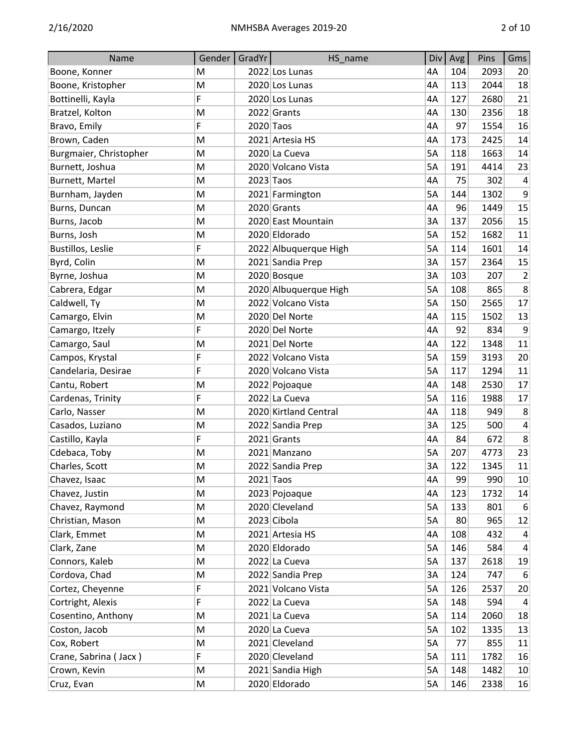| Name                   | Gender    | GradYr      | HS_name               | Div       | Avg | Pins | Gms                     |
|------------------------|-----------|-------------|-----------------------|-----------|-----|------|-------------------------|
| Boone, Konner          | M         |             | 2022 Los Lunas        | 4A        | 104 | 2093 | 20                      |
| Boone, Kristopher      | M         |             | 2020 Los Lunas        | 4A        | 113 | 2044 | 18                      |
| Bottinelli, Kayla      | F         |             | 2020 Los Lunas        | 4A        | 127 | 2680 | 21                      |
| Bratzel, Kolton        | M         |             | 2022 Grants           | 4A        | 130 | 2356 | 18                      |
| Bravo, Emily           | F         | 2020 Taos   |                       | 4A        | 97  | 1554 | 16                      |
| Brown, Caden           | M         |             | 2021 Artesia HS       | 4A        | 173 | 2425 | 14                      |
| Burgmaier, Christopher | M         |             | 2020 La Cueva         | 5A        | 118 | 1663 | 14                      |
| Burnett, Joshua        | M         |             | 2020 Volcano Vista    | <b>5A</b> | 191 | 4414 | 23                      |
| Burnett, Martel        | M         | $2023$ Taos |                       | 4A        | 75  | 302  | 4                       |
| Burnham, Jayden        | M         |             | 2021 Farmington       | 5A        | 144 | 1302 | 9                       |
| Burns, Duncan          | M         |             | 2020 Grants           | 4A        | 96  | 1449 | 15                      |
| Burns, Jacob           | M         |             | 2020 East Mountain    | 3A        | 137 | 2056 | 15                      |
| Burns, Josh            | ${\sf M}$ |             | 2020 Eldorado         | <b>5A</b> | 152 | 1682 | 11                      |
| Bustillos, Leslie      | F         |             | 2022 Albuquerque High | 5A        | 114 | 1601 | 14                      |
| Byrd, Colin            | M         |             | 2021 Sandia Prep      | 3A        | 157 | 2364 | 15                      |
| Byrne, Joshua          | M         |             | 2020 Bosque           | 3A        | 103 | 207  | $\overline{2}$          |
| Cabrera, Edgar         | M         |             | 2020 Albuquerque High | 5A        | 108 | 865  | 8                       |
| Caldwell, Ty           | M         |             | 2022 Volcano Vista    | <b>5A</b> | 150 | 2565 | 17                      |
| Camargo, Elvin         | M         |             | 2020 Del Norte        | 4A        | 115 | 1502 | 13                      |
| Camargo, Itzely        | F         |             | 2020 Del Norte        | 4A        | 92  | 834  | 9                       |
| Camargo, Saul          | M         |             | 2021 Del Norte        | 4A        | 122 | 1348 | 11                      |
| Campos, Krystal        | F         |             | 2022 Volcano Vista    | 5A        | 159 | 3193 | 20                      |
| Candelaria, Desirae    | F         |             | 2020 Volcano Vista    | <b>5A</b> | 117 | 1294 | 11                      |
| Cantu, Robert          | M         |             | 2022 Pojoaque         | 4A        | 148 | 2530 | 17                      |
| Cardenas, Trinity      | F         |             | 2022 La Cueva         | <b>5A</b> | 116 | 1988 | 17                      |
| Carlo, Nasser          | M         |             | 2020 Kirtland Central | 4A        | 118 | 949  | 8                       |
| Casados, Luziano       | M         |             | 2022 Sandia Prep      | 3A        | 125 | 500  | $\overline{\mathbf{4}}$ |
| Castillo, Kayla        | F         |             | 2021 Grants           | 4A        | 84  | 672  | 8                       |
| Cdebaca, Toby          | M         |             | 2021 Manzano          | 5A        | 207 | 4773 | 23                      |
| Charles, Scott         | M         |             | 2022 Sandia Prep      | 3A        | 122 | 1345 | 11                      |
| Chavez, Isaac          | M         |             | $2021$ Taos           | 4A        | 99  | 990  | 10                      |
| Chavez, Justin         | M         |             | 2023 Pojoaque         | 4A        | 123 | 1732 | 14                      |
| Chavez, Raymond        | M         |             | 2020 Cleveland        | 5A        | 133 | 801  | 6                       |
| Christian, Mason       | M         |             | 2023 Cibola           | 5A        | 80  | 965  | 12                      |
| Clark, Emmet           | ${\sf M}$ |             | 2021 Artesia HS       | 4A        | 108 | 432  | $\overline{\mathbf{4}}$ |
| Clark, Zane            | ${\sf M}$ |             | 2020 Eldorado         | 5A        | 146 | 584  | $\overline{a}$          |
| Connors, Kaleb         | M         |             | 2022 La Cueva         | 5A        | 137 | 2618 | 19                      |
| Cordova, Chad          | M         |             | 2022 Sandia Prep      | 3A        | 124 | 747  | 6                       |
| Cortez, Cheyenne       | F         |             | 2021 Volcano Vista    | 5A        | 126 | 2537 | 20                      |
| Cortright, Alexis      | F         |             | 2022 La Cueva         | 5A        | 148 | 594  | $\overline{\mathbf{4}}$ |
| Cosentino, Anthony     | M         |             | 2021 La Cueva         | 5A        | 114 | 2060 | 18                      |
| Coston, Jacob          | M         |             | 2020 La Cueva         | 5A        | 102 | 1335 | 13                      |
| Cox, Robert            | ${\sf M}$ |             | 2021 Cleveland        | 5A        | 77  | 855  | 11                      |
| Crane, Sabrina (Jacx)  | F         |             | 2020 Cleveland        | 5A        | 111 | 1782 | 16                      |
| Crown, Kevin           | ${\sf M}$ |             | 2021 Sandia High      | 5A        | 148 | 1482 | 10                      |
| Cruz, Evan             | M         |             | 2020 Eldorado         | 5A        | 146 | 2338 | 16                      |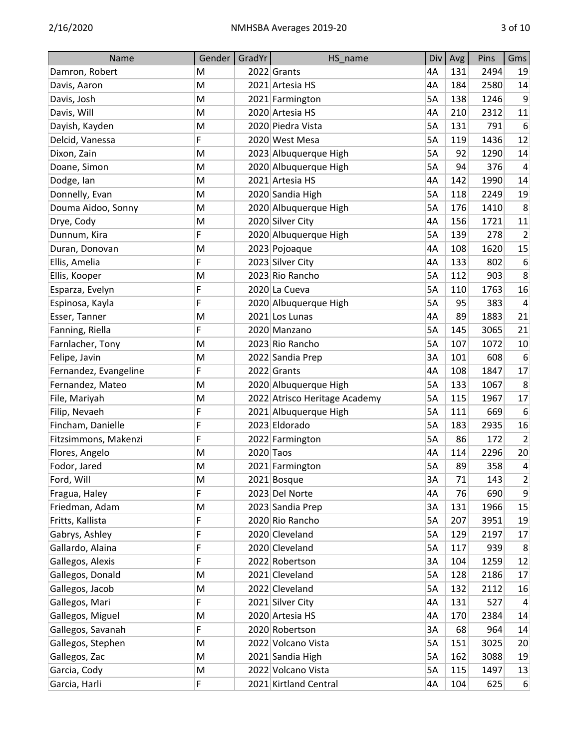| Name                  | Gender    | GradYr    | HS name                       | Div       | Avg | Pins | Gms                     |
|-----------------------|-----------|-----------|-------------------------------|-----------|-----|------|-------------------------|
| Damron, Robert        | M         |           | 2022 Grants                   | 4A        | 131 | 2494 | 19                      |
| Davis, Aaron          | M         |           | 2021 Artesia HS               | 4A        | 184 | 2580 | 14                      |
| Davis, Josh           | M         |           | 2021 Farmington               | <b>5A</b> | 138 | 1246 | 9                       |
| Davis, Will           | M         |           | 2020 Artesia HS               | 4A        | 210 | 2312 | 11                      |
| Dayish, Kayden        | M         |           | 2020 Piedra Vista             | 5A        | 131 | 791  | 6                       |
| Delcid, Vanessa       | F         |           | 2020 West Mesa                | <b>5A</b> | 119 | 1436 | 12                      |
| Dixon, Zain           | M         |           | 2023 Albuquerque High         | 5A        | 92  | 1290 | 14                      |
| Doane, Simon          | M         |           | 2020 Albuquerque High         | <b>5A</b> | 94  | 376  | $\overline{a}$          |
| Dodge, Ian            | M         |           | 2021 Artesia HS               | 4A        | 142 | 1990 | 14                      |
| Donnelly, Evan        | M         |           | 2020 Sandia High              | 5A        | 118 | 2249 | 19                      |
| Douma Aidoo, Sonny    | M         |           | 2020 Albuquerque High         | 5A        | 176 | 1410 | 8                       |
| Drye, Cody            | M         |           | 2020 Silver City              | 4A        | 156 | 1721 | 11                      |
| Dunnum, Kira          | F         |           | 2020 Albuquerque High         | <b>5A</b> | 139 | 278  | $\overline{2}$          |
| Duran, Donovan        | M         |           | 2023 Pojoaque                 | 4A        | 108 | 1620 | 15                      |
| Ellis, Amelia         | F         |           | 2023 Silver City              | 4A        | 133 | 802  | 6                       |
| Ellis, Kooper         | M         |           | 2023 Rio Rancho               | <b>5A</b> | 112 | 903  | 8                       |
| Esparza, Evelyn       | F         |           | 2020 La Cueva                 | 5A        | 110 | 1763 | 16                      |
| Espinosa, Kayla       | F         |           | 2020 Albuquerque High         | <b>5A</b> | 95  | 383  | $\overline{a}$          |
| Esser, Tanner         | M         |           | 2021 Los Lunas                | 4A        | 89  | 1883 | 21                      |
| Fanning, Riella       | F         |           | 2020 Manzano                  | 5A        | 145 | 3065 | 21                      |
| Farnlacher, Tony      | M         |           | 2023 Rio Rancho               | <b>5A</b> | 107 | 1072 | 10                      |
| Felipe, Javin         | M         |           | 2022 Sandia Prep              | 3A        | 101 | 608  | 6                       |
| Fernandez, Evangeline | F         |           | 2022 Grants                   | 4A        | 108 | 1847 | 17                      |
| Fernandez, Mateo      | M         |           | 2020 Albuquerque High         | 5A        | 133 | 1067 | 8                       |
| File, Mariyah         | M         |           | 2022 Atrisco Heritage Academy | 5A        | 115 | 1967 | 17                      |
| Filip, Nevaeh         | F         |           | 2021 Albuquerque High         | <b>5A</b> | 111 | 669  | 6                       |
| Fincham, Danielle     | F         |           | 2023 Eldorado                 | 5A        | 183 | 2935 | 16                      |
| Fitzsimmons, Makenzi  | F         |           | 2022 Farmington               | 5A        | 86  | 172  | $\overline{2}$          |
| Flores, Angelo        | M         | 2020 Taos |                               | 4A        | 114 | 2296 | 20                      |
| Fodor, Jared          | M         |           | 2021 Farmington               | 5A        | 89  | 358  | $\overline{\mathbf{4}}$ |
| Ford, Will            | M         |           | 2021 Bosque                   | 3A        | 71  | 143  | $\overline{2}$          |
| Fragua, Haley         | F         |           | 2023 Del Norte                | 4A        | 76  | 690  | 9                       |
| Friedman, Adam        | ${\sf M}$ |           | 2023 Sandia Prep              | 3A        | 131 | 1966 | 15                      |
| Fritts, Kallista      | F         |           | 2020 Rio Rancho               | 5A        | 207 | 3951 | 19                      |
| Gabrys, Ashley        | F         |           | 2020 Cleveland                | 5A        | 129 | 2197 | 17                      |
| Gallardo, Alaina      | F         |           | 2020 Cleveland                | 5A        | 117 | 939  | 8                       |
| Gallegos, Alexis      | F         |           | 2022 Robertson                | 3A        | 104 | 1259 | 12                      |
| Gallegos, Donald      | M         |           | 2021 Cleveland                | 5A        | 128 | 2186 | 17                      |
| Gallegos, Jacob       | M         |           | 2022 Cleveland                | 5A        | 132 | 2112 | 16                      |
| Gallegos, Mari        | F         |           | 2021 Silver City              | 4A        | 131 | 527  | 4                       |
| Gallegos, Miguel      | M         |           | 2020 Artesia HS               | 4A        | 170 | 2384 | 14                      |
| Gallegos, Savanah     | F         |           | 2020 Robertson                | 3A        | 68  | 964  | 14                      |
| Gallegos, Stephen     | M         |           | 2022 Volcano Vista            | 5A        | 151 | 3025 | 20                      |
| Gallegos, Zac         | M         |           | 2021 Sandia High              | 5A        | 162 | 3088 | 19                      |
| Garcia, Cody          | ${\sf M}$ |           | 2022 Volcano Vista            | 5A        | 115 | 1497 | 13                      |
| Garcia, Harli         | F         |           | 2021 Kirtland Central         | 4A        | 104 | 625  | $6 \mid$                |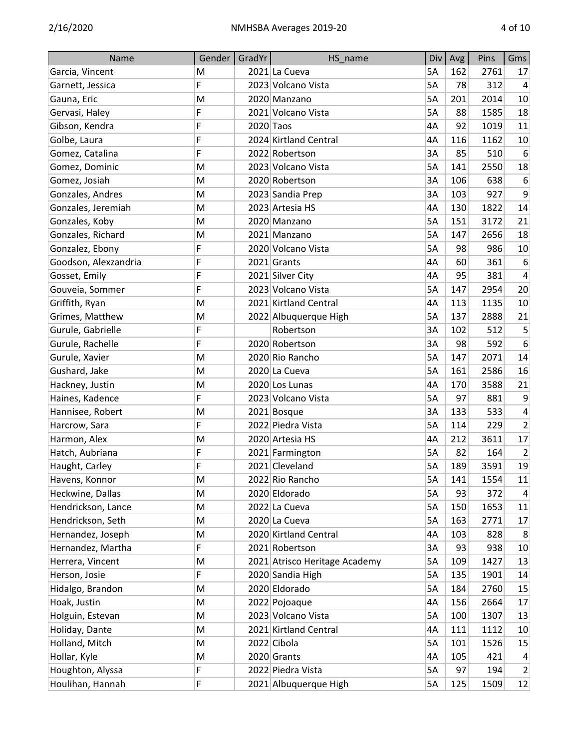| Name                 | Gender | GradYr | HS_name                       | Div       | Avg | Pins | Gms              |
|----------------------|--------|--------|-------------------------------|-----------|-----|------|------------------|
| Garcia, Vincent      | M      |        | 2021 La Cueva                 | 5A        | 162 | 2761 | 17               |
| Garnett, Jessica     | F      |        | 2023 Volcano Vista            | 5A        | 78  | 312  | 4                |
| Gauna, Eric          | M      |        | 2020 Manzano                  | <b>5A</b> | 201 | 2014 | 10               |
| Gervasi, Haley       | F      |        | 2021 Volcano Vista            | 5A        | 88  | 1585 | 18               |
| Gibson, Kendra       | F      |        | 2020 Taos                     | 4A        | 92  | 1019 | 11               |
| Golbe, Laura         | F      |        | 2024 Kirtland Central         | 4A        | 116 | 1162 | 10               |
| Gomez, Catalina      | F      |        | 2022 Robertson                | 3A        | 85  | 510  | 6                |
| Gomez, Dominic       | M      |        | 2023 Volcano Vista            | <b>5A</b> | 141 | 2550 | 18               |
| Gomez, Josiah        | M      |        | 2020 Robertson                | 3A        | 106 | 638  | 6                |
| Gonzales, Andres     | M      |        | 2023 Sandia Prep              | 3A        | 103 | 927  | $\boldsymbol{9}$ |
| Gonzales, Jeremiah   | M      |        | 2023 Artesia HS               | 4A        | 130 | 1822 | 14               |
| Gonzales, Koby       | M      |        | 2020 Manzano                  | 5A        | 151 | 3172 | 21               |
| Gonzales, Richard    | M      |        | 2021 Manzano                  | 5A        | 147 | 2656 | 18               |
| Gonzalez, Ebony      | F      |        | 2020 Volcano Vista            | 5A        | 98  | 986  | 10               |
| Goodson, Alexzandria | F      |        | 2021 Grants                   | 4A        | 60  | 361  | 6                |
| Gosset, Emily        | F      |        | 2021 Silver City              | 4A        | 95  | 381  | $\overline{4}$   |
| Gouveia, Sommer      | F      |        | 2023 Volcano Vista            | 5A        | 147 | 2954 | 20               |
| Griffith, Ryan       | M      |        | 2021 Kirtland Central         | 4A        | 113 | 1135 | 10               |
| Grimes, Matthew      | M      |        | 2022 Albuquerque High         | 5A        | 137 | 2888 | 21               |
| Gurule, Gabrielle    | F      |        | Robertson                     | 3A        | 102 | 512  | 5                |
| Gurule, Rachelle     | F      |        | 2020 Robertson                | 3A        | 98  | 592  | 6                |
| Gurule, Xavier       | M      |        | 2020 Rio Rancho               | 5A        | 147 | 2071 | 14               |
| Gushard, Jake        | M      |        | 2020 La Cueva                 | <b>5A</b> | 161 | 2586 | 16               |
| Hackney, Justin      | M      |        | 2020 Los Lunas                | 4A        | 170 | 3588 | 21               |
| Haines, Kadence      | F      |        | 2023 Volcano Vista            | <b>5A</b> | 97  | 881  | $\boldsymbol{9}$ |
| Hannisee, Robert     | M      |        | 2021 Bosque                   | 3A        | 133 | 533  | 4                |
| Harcrow, Sara        | F      |        | 2022 Piedra Vista             | 5A        | 114 | 229  | $\overline{2}$   |
| Harmon, Alex         | M      |        | 2020 Artesia HS               | 4A        | 212 | 3611 | 17               |
| Hatch, Aubriana      | F      |        | 2021 Farmington               | <b>5A</b> | 82  | 164  | $\overline{2}$   |
| Haught, Carley       | F      |        | 2021 Cleveland                | 5A        | 189 | 3591 | 19               |
| Havens, Konnor       | M      |        | 2022 Rio Rancho               | 5A        | 141 | 1554 | 11               |
| Heckwine, Dallas     | M      |        | 2020 Eldorado                 | 5A        | 93  | 372  | 4                |
| Hendrickson, Lance   | M      |        | 2022 La Cueva                 | 5A        | 150 | 1653 | 11               |
| Hendrickson, Seth    | M      |        | 2020 La Cueva                 | 5A        | 163 | 2771 | 17               |
| Hernandez, Joseph    | M      |        | 2020 Kirtland Central         | 4A        | 103 | 828  | 8                |
| Hernandez, Martha    | F      |        | 2021 Robertson                | 3A        | 93  | 938  | 10               |
| Herrera, Vincent     | M      |        | 2021 Atrisco Heritage Academy | 5A        | 109 | 1427 | 13               |
| Herson, Josie        | F      |        | 2020 Sandia High              | 5A        | 135 | 1901 | 14               |
| Hidalgo, Brandon     | M      |        | 2020 Eldorado                 | 5A        | 184 | 2760 | 15               |
| Hoak, Justin         | M      |        | 2022 Pojoaque                 | 4A        | 156 | 2664 | 17               |
| Holguin, Estevan     | M      |        | 2023 Volcano Vista            | 5A        | 100 | 1307 | 13               |
| Holiday, Dante       | M      |        | 2021 Kirtland Central         | 4A        | 111 | 1112 | 10               |
| Holland, Mitch       | M      |        | 2022 Cibola                   | 5A        | 101 | 1526 | 15               |
| Hollar, Kyle         | M      |        | 2020 Grants                   | 4A        | 105 | 421  | 4                |
| Houghton, Alyssa     | F      |        | 2022 Piedra Vista             | 5A        | 97  | 194  | $\overline{2}$   |
| Houlihan, Hannah     | F      |        | 2021 Albuquerque High         | 5A        | 125 | 1509 | 12               |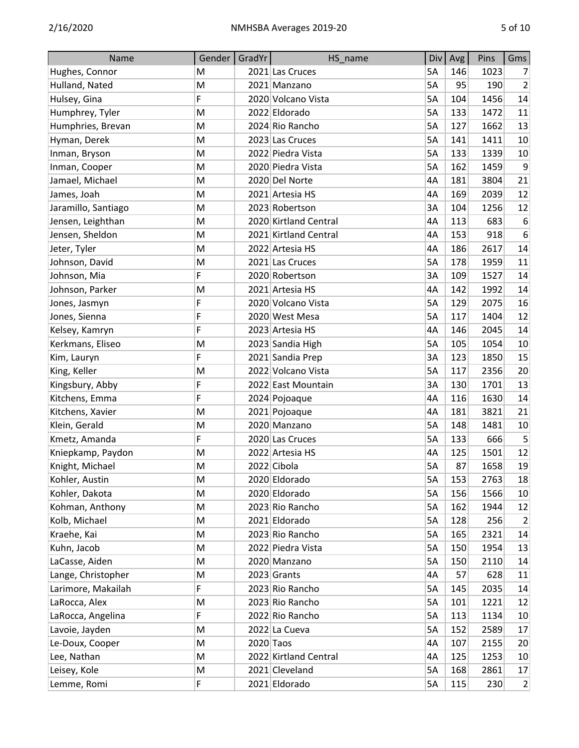| Name                | Gender | GradYr      | HS_name               | Div       | Avg | Pins | Gms              |
|---------------------|--------|-------------|-----------------------|-----------|-----|------|------------------|
| Hughes, Connor      | M      |             | 2021 Las Cruces       | 5A        | 146 | 1023 | 7                |
| Hulland, Nated      | M      |             | 2021 Manzano          | <b>5A</b> | 95  | 190  | 2                |
| Hulsey, Gina        | F      |             | 2020 Volcano Vista    | 5A        | 104 | 1456 | 14               |
| Humphrey, Tyler     | M      |             | 2022 Eldorado         | 5A        | 133 | 1472 | 11               |
| Humphries, Brevan   | M      |             | 2024 Rio Rancho       | <b>5A</b> | 127 | 1662 | 13               |
| Hyman, Derek        | M      |             | 2023 Las Cruces       | 5A        | 141 | 1411 | 10               |
| Inman, Bryson       | M      |             | 2022 Piedra Vista     | <b>5A</b> | 133 | 1339 | 10               |
| Inman, Cooper       | M      |             | 2020 Piedra Vista     | 5A        | 162 | 1459 | 9                |
| Jamael, Michael     | M      |             | 2020 Del Norte        | 4A        | 181 | 3804 | 21               |
| James, Joah         | M      |             | 2021 Artesia HS       | 4A        | 169 | 2039 | 12               |
| Jaramillo, Santiago | M      |             | 2023 Robertson        | 3A        | 104 | 1256 | 12               |
| Jensen, Leighthan   | M      |             | 2020 Kirtland Central | 4A        | 113 | 683  | 6                |
| Jensen, Sheldon     | M      |             | 2021 Kirtland Central | 4A        | 153 | 918  | $\boldsymbol{6}$ |
| Jeter, Tyler        | M      |             | 2022 Artesia HS       | 4A        | 186 | 2617 | 14               |
| Johnson, David      | M      |             | 2021 Las Cruces       | <b>5A</b> | 178 | 1959 | 11               |
| Johnson, Mia        | F      |             | 2020 Robertson        | 3A        | 109 | 1527 | 14               |
| Johnson, Parker     | M      |             | 2021 Artesia HS       | 4A        | 142 | 1992 | 14               |
| Jones, Jasmyn       | F      |             | 2020 Volcano Vista    | 5A        | 129 | 2075 | 16               |
| Jones, Sienna       | F      |             | 2020 West Mesa        | 5A        | 117 | 1404 | 12               |
| Kelsey, Kamryn      | F      |             | 2023 Artesia HS       | 4A        | 146 | 2045 | 14               |
| Kerkmans, Eliseo    | M      |             | 2023 Sandia High      | 5A        | 105 | 1054 | 10               |
| Kim, Lauryn         | F      |             | 2021 Sandia Prep      | 3A        | 123 | 1850 | 15               |
| King, Keller        | M      |             | 2022 Volcano Vista    | 5A        | 117 | 2356 | 20               |
| Kingsbury, Abby     | F      |             | 2022 East Mountain    | 3A        | 130 | 1701 | 13               |
| Kitchens, Emma      | F      |             | 2024 Pojoaque         | 4A        | 116 | 1630 | 14               |
| Kitchens, Xavier    | M      |             | 2021 Pojoaque         | 4A        | 181 | 3821 | 21               |
| Klein, Gerald       | M      |             | 2020 Manzano          | <b>5A</b> | 148 | 1481 | 10               |
| Kmetz, Amanda       | F      |             | 2020 Las Cruces       | 5A        | 133 | 666  | 5                |
| Kniepkamp, Paydon   | M      |             | 2022 Artesia HS       | 4A        | 125 | 1501 | 12               |
| Knight, Michael     | M      |             | 2022 Cibola           | 5A        | 87  | 1658 | 19               |
| Kohler, Austin      | M      |             | 2020 Eldorado         | 5A        | 153 | 2763 | 18               |
| Kohler, Dakota      | M      |             | 2020 Eldorado         | 5A        | 156 | 1566 | 10               |
| Kohman, Anthony     | M      |             | 2023 Rio Rancho       | 5A        | 162 | 1944 | 12               |
| Kolb, Michael       | M      |             | 2021 Eldorado         | 5A        | 128 | 256  | $\overline{2}$   |
| Kraehe, Kai         | M      |             | 2023 Rio Rancho       | 5A        | 165 | 2321 | 14               |
| Kuhn, Jacob         | M      |             | 2022 Piedra Vista     | 5A        | 150 | 1954 | 13               |
| LaCasse, Aiden      | M      |             | 2020 Manzano          | 5A        | 150 | 2110 | 14               |
| Lange, Christopher  | M      |             | 2023 Grants           | 4A        | 57  | 628  | 11               |
| Larimore, Makailah  | F      |             | 2023 Rio Rancho       | 5A        | 145 | 2035 | 14               |
| LaRocca, Alex       | M      |             | 2023 Rio Rancho       | 5A        | 101 | 1221 | 12               |
| LaRocca, Angelina   | F      |             | 2022 Rio Rancho       | 5A        | 113 | 1134 | 10               |
| Lavoie, Jayden      | M      |             | 2022 La Cueva         | 5A        | 152 | 2589 | 17               |
| Le-Doux, Cooper     | M      | $2020$ Taos |                       | 4A        | 107 | 2155 | 20               |
| Lee, Nathan         | M      |             | 2022 Kirtland Central | 4A        | 125 | 1253 | 10               |
| Leisey, Kole        | M      |             | 2021 Cleveland        | 5A        | 168 | 2861 | 17               |
| Lemme, Romi         | F      |             | 2021 Eldorado         | 5A        | 115 | 230  | $\left  \right $ |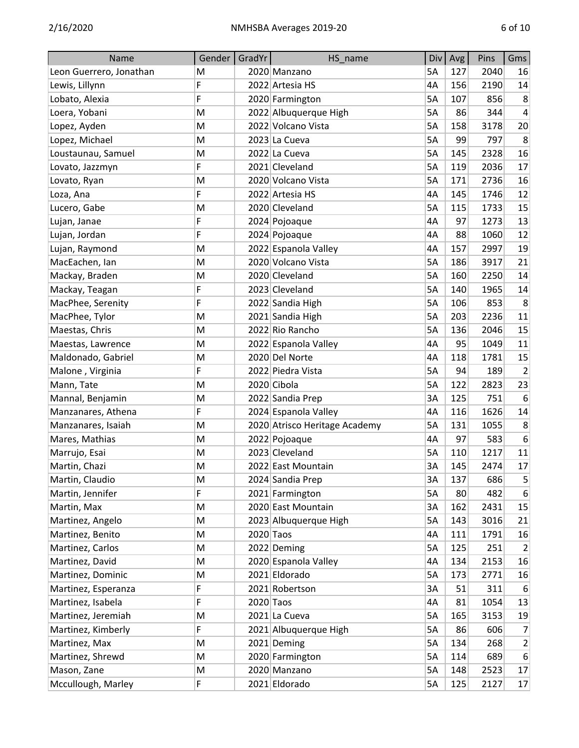| Name                    | Gender | GradYr    | HS name                       | Div       | Avg | Pins | Gms            |
|-------------------------|--------|-----------|-------------------------------|-----------|-----|------|----------------|
| Leon Guerrero, Jonathan | M      |           | 2020 Manzano                  | 5A        | 127 | 2040 | 16             |
| Lewis, Lillynn          | F      |           | 2022 Artesia HS               | 4A        | 156 | 2190 | 14             |
| Lobato, Alexia          | F      |           | 2020 Farmington               | 5A        | 107 | 856  | 8              |
| Loera, Yobani           | M      |           | 2022 Albuquerque High         | <b>5A</b> | 86  | 344  | 4              |
| Lopez, Ayden            | M      |           | 2022 Volcano Vista            | <b>5A</b> | 158 | 3178 | 20             |
| Lopez, Michael          | M      |           | 2023 La Cueva                 | <b>5A</b> | 99  | 797  | $\,8\,$        |
| Loustaunau, Samuel      | M      |           | 2022 La Cueva                 | <b>5A</b> | 145 | 2328 | 16             |
| Lovato, Jazzmyn         | F      |           | 2021 Cleveland                | 5A        | 119 | 2036 | 17             |
| Lovato, Ryan            | M      |           | 2020 Volcano Vista            | 5A        | 171 | 2736 | 16             |
| Loza, Ana               | F      |           | 2022 Artesia HS               | 4A        | 145 | 1746 | 12             |
| Lucero, Gabe            | M      |           | 2020 Cleveland                | 5A        | 115 | 1733 | 15             |
| Lujan, Janae            | F      |           | 2024 Pojoaque                 | 4A        | 97  | 1273 | 13             |
| Lujan, Jordan           | F      |           | 2024 Pojoaque                 | 4A        | 88  | 1060 | 12             |
| Lujan, Raymond          | M      |           | 2022 Espanola Valley          | 4A        | 157 | 2997 | 19             |
| MacEachen, Ian          | M      |           | 2020 Volcano Vista            | <b>5A</b> | 186 | 3917 | 21             |
| Mackay, Braden          | M      |           | 2020 Cleveland                | 5A        | 160 | 2250 | 14             |
| Mackay, Teagan          | F      |           | 2023 Cleveland                | <b>5A</b> | 140 | 1965 | 14             |
| MacPhee, Serenity       | F      |           | 2022 Sandia High              | 5A        | 106 | 853  | 8              |
| MacPhee, Tylor          | M      |           | 2021 Sandia High              | 5A        | 203 | 2236 | 11             |
| Maestas, Chris          | M      |           | 2022 Rio Rancho               | <b>5A</b> | 136 | 2046 | 15             |
| Maestas, Lawrence       | M      |           | 2022 Espanola Valley          | 4A        | 95  | 1049 | 11             |
| Maldonado, Gabriel      | M      |           | 2020 Del Norte                | 4A        | 118 | 1781 | 15             |
| Malone, Virginia        | F      |           | 2022 Piedra Vista             | 5A        | 94  | 189  | $\overline{2}$ |
| Mann, Tate              | M      |           | 2020 Cibola                   | 5A        | 122 | 2823 | 23             |
| Mannal, Benjamin        | M      |           | 2022 Sandia Prep              | 3A        | 125 | 751  | 6              |
| Manzanares, Athena      | F      |           | 2024 Espanola Valley          | 4A        | 116 | 1626 | 14             |
| Manzanares, Isaiah      | M      |           | 2020 Atrisco Heritage Academy | <b>5A</b> | 131 | 1055 | 8              |
| Mares, Mathias          | M      |           | 2022 Pojoaque                 | 4A        | 97  | 583  | 6              |
| Marrujo, Esai           | M      |           | 2023 Cleveland                | 5A        | 110 | 1217 | 11             |
| Martin, Chazi           | M      |           | 2022 East Mountain            | 3A        | 145 | 2474 | 17             |
| Martin, Claudio         | M      |           | 2024 Sandia Prep              | 3A        | 137 | 686  | 5              |
| Martin, Jennifer        | F      |           | 2021 Farmington               | 5A        | 80  | 482  | 6              |
| Martin, Max             | M      |           | 2020 East Mountain            | 3A        | 162 | 2431 | 15             |
| Martinez, Angelo        | M      |           | 2023 Albuquerque High         | 5A        | 143 | 3016 | 21             |
| Martinez, Benito        | M      | 2020 Taos |                               | 4A        | 111 | 1791 | 16             |
| Martinez, Carlos        | M      |           | 2022 Deming                   | 5A        | 125 | 251  | $\overline{2}$ |
| Martinez, David         | M      |           | 2020 Espanola Valley          | 4A        | 134 | 2153 | 16             |
| Martinez, Dominic       | M      |           | 2021 Eldorado                 | 5A        | 173 | 2771 | 16             |
| Martinez, Esperanza     | F      |           | 2021 Robertson                | 3A        | 51  | 311  | 6              |
| Martinez, Isabela       | F      |           | $2020$ Taos                   | 4A        | 81  | 1054 | 13             |
| Martinez, Jeremiah      | M      |           | 2021 La Cueva                 | 5A        | 165 | 3153 | 19             |
| Martinez, Kimberly      | F      |           | 2021 Albuquerque High         | 5A        | 86  | 606  | $\overline{7}$ |
| Martinez, Max           | M      |           | 2021 Deming                   | 5A        | 134 | 268  | $\overline{2}$ |
| Martinez, Shrewd        | M      |           | 2020 Farmington               | 5A        | 114 | 689  | 6              |
| Mason, Zane             | M      |           | 2020 Manzano                  | 5A        | 148 | 2523 | 17             |
| Mccullough, Marley      | F      |           | 2021 Eldorado                 | 5A        | 125 | 2127 | 17             |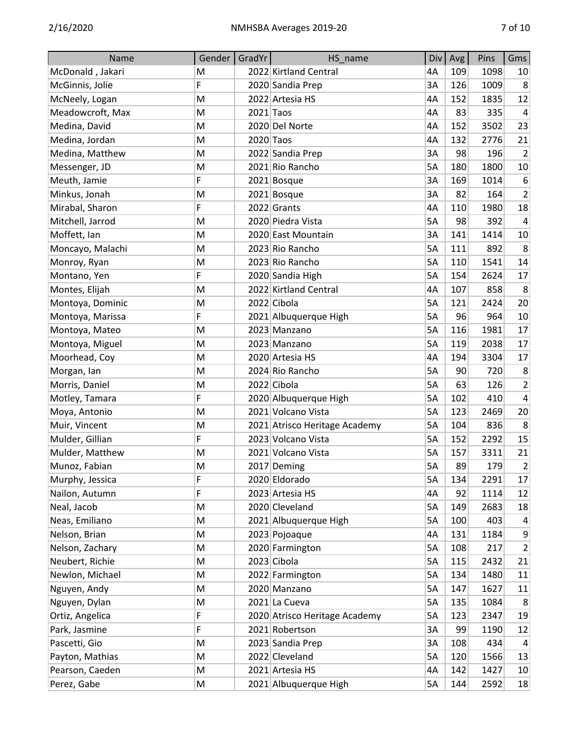| Name             | Gender    | GradYr | HS name                       | Div       | Avg | Pins | Gms            |
|------------------|-----------|--------|-------------------------------|-----------|-----|------|----------------|
| McDonald, Jakari | M         |        | 2022 Kirtland Central         | 4A        | 109 | 1098 | 10             |
| McGinnis, Jolie  | F         |        | 2020 Sandia Prep              | 3A        | 126 | 1009 | 8              |
| McNeely, Logan   | M         |        | 2022 Artesia HS               | 4A        | 152 | 1835 | 12             |
| Meadowcroft, Max | M         |        | $2021$ Taos                   | 4A        | 83  | 335  | 4              |
| Medina, David    | M         |        | 2020 Del Norte                | 4A        | 152 | 3502 | 23             |
| Medina, Jordan   | M         |        | 2020 Taos                     | 4A        | 132 | 2776 | 21             |
| Medina, Matthew  | M         |        | 2022 Sandia Prep              | 3A        | 98  | 196  | $\overline{2}$ |
| Messenger, JD    | M         |        | 2021 Rio Rancho               | 5A        | 180 | 1800 | 10             |
| Meuth, Jamie     | F         |        | 2021 Bosque                   | 3A        | 169 | 1014 | 6              |
| Minkus, Jonah    | M         |        | 2021 Bosque                   | 3A        | 82  | 164  | $\overline{2}$ |
| Mirabal, Sharon  | F         |        | 2022 Grants                   | 4A        | 110 | 1980 | 18             |
| Mitchell, Jarrod | M         |        | 2020 Piedra Vista             | <b>5A</b> | 98  | 392  | 4              |
| Moffett, Ian     | M         |        | 2020 East Mountain            | 3A        | 141 | 1414 | 10             |
| Moncayo, Malachi | M         |        | 2023 Rio Rancho               | <b>5A</b> | 111 | 892  | 8              |
| Monroy, Ryan     | M         |        | 2023 Rio Rancho               | 5A        | 110 | 1541 | 14             |
| Montano, Yen     | F         |        | 2020 Sandia High              | <b>5A</b> | 154 | 2624 | 17             |
| Montes, Elijah   | M         |        | 2022 Kirtland Central         | 4A        | 107 | 858  | 8              |
| Montoya, Dominic | M         |        | 2022 Cibola                   | 5A        | 121 | 2424 | 20             |
| Montoya, Marissa | F         |        | 2021 Albuquerque High         | <b>5A</b> | 96  | 964  | 10             |
| Montoya, Mateo   | M         |        | 2023 Manzano                  | 5A        | 116 | 1981 | 17             |
| Montoya, Miguel  | M         |        | 2023 Manzano                  | <b>5A</b> | 119 | 2038 | 17             |
| Moorhead, Coy    | M         |        | 2020 Artesia HS               | 4A        | 194 | 3304 | 17             |
| Morgan, lan      | M         |        | 2024 Rio Rancho               | 5A        | 90  | 720  | 8              |
| Morris, Daniel   | M         |        | 2022 Cibola                   | <b>5A</b> | 63  | 126  | $\overline{2}$ |
| Motley, Tamara   | F         |        | 2020 Albuquerque High         | 5A        | 102 | 410  | 4              |
| Moya, Antonio    | M         |        | 2021 Volcano Vista            | <b>5A</b> | 123 | 2469 | 20             |
| Muir, Vincent    | M         |        | 2021 Atrisco Heritage Academy | <b>5A</b> | 104 | 836  | 8              |
| Mulder, Gillian  | F         |        | 2023 Volcano Vista            | 5A        | 152 | 2292 | 15             |
| Mulder, Matthew  | M         |        | 2021 Volcano Vista            | 5A        | 157 | 3311 | 21             |
| Munoz, Fabian    | M         |        | 2017 Deming                   | 5A        | 89  | 179  | $\overline{2}$ |
| Murphy, Jessica  | F         |        | 2020 Eldorado                 | 5A        | 134 | 2291 | 17             |
| Nailon, Autumn   | F         |        | 2023 Artesia HS               | 4A        | 92  | 1114 | 12             |
| Neal, Jacob      | M         |        | 2020 Cleveland                | 5A        | 149 | 2683 | 18             |
| Neas, Emiliano   | ${\sf M}$ |        | 2021 Albuquerque High         | 5A        | 100 | 403  | 4              |
| Nelson, Brian    | M         |        | 2023 Pojoaque                 | 4A        | 131 | 1184 | 9              |
| Nelson, Zachary  | M         |        | 2020 Farmington               | 5A        | 108 | 217  | $\overline{2}$ |
| Neubert, Richie  | M         |        | 2023 Cibola                   | 5A        | 115 | 2432 | 21             |
| Newlon, Michael  | M         |        | 2022 Farmington               | 5A        | 134 | 1480 | 11             |
| Nguyen, Andy     | ${\sf M}$ |        | 2020 Manzano                  | 5A        | 147 | 1627 | 11             |
| Nguyen, Dylan    | M         |        | 2021 La Cueva                 | 5A        | 135 | 1084 | 8              |
| Ortiz, Angelica  | F         |        | 2020 Atrisco Heritage Academy | 5A        | 123 | 2347 | 19             |
| Park, Jasmine    | F         |        | 2021 Robertson                | 3A        | 99  | 1190 | 12             |
| Pascetti, Gio    | M         |        | 2023 Sandia Prep              | 3A        | 108 | 434  | 4              |
| Payton, Mathias  | ${\sf M}$ |        | 2022 Cleveland                | 5A        | 120 | 1566 | 13             |
| Pearson, Caeden  | M         |        | 2021 Artesia HS               | 4A        | 142 | 1427 | 10             |
| Perez, Gabe      | M         |        | 2021 Albuquerque High         | 5A        | 144 | 2592 | 18             |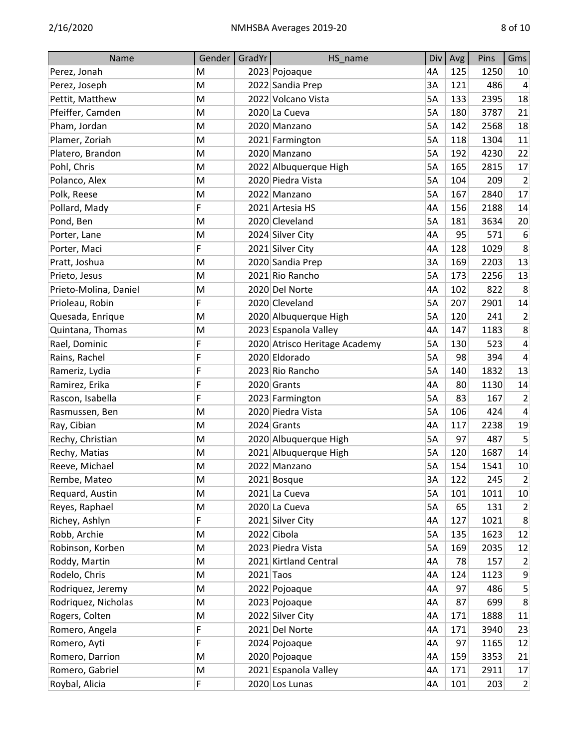| Name                  | Gender | GradYr | HS_name                       | Div       | Avg | Pins | Gms                         |
|-----------------------|--------|--------|-------------------------------|-----------|-----|------|-----------------------------|
| Perez, Jonah          | M      |        | 2023 Pojoaque                 | 4A        | 125 | 1250 | 10                          |
| Perez, Joseph         | M      |        | 2022 Sandia Prep              | 3A        | 121 | 486  | 4                           |
| Pettit, Matthew       | M      |        | 2022 Volcano Vista            | <b>5A</b> | 133 | 2395 | 18                          |
| Pfeiffer, Camden      | M      |        | 2020 La Cueva                 | 5A        | 180 | 3787 | 21                          |
| Pham, Jordan          | M      |        | 2020 Manzano                  | <b>5A</b> | 142 | 2568 | 18                          |
| Plamer, Zoriah        | M      |        | 2021 Farmington               | <b>5A</b> | 118 | 1304 | 11                          |
| Platero, Brandon      | M      |        | 2020 Manzano                  | 5A        | 192 | 4230 | 22                          |
| Pohl, Chris           | M      |        | 2022 Albuquerque High         | 5A        | 165 | 2815 | 17                          |
| Polanco, Alex         | M      |        | 2020 Piedra Vista             | 5A        | 104 | 209  | $\overline{2}$              |
| Polk, Reese           | M      |        | 2022 Manzano                  | <b>5A</b> | 167 | 2840 | 17                          |
| Pollard, Mady         | F      |        | 2021 Artesia HS               | 4A        | 156 | 2188 | 14                          |
| Pond, Ben             | M      |        | 2020 Cleveland                | 5A        | 181 | 3634 | 20                          |
| Porter, Lane          | M      |        | 2024 Silver City              | 4A        | 95  | 571  | $\boldsymbol{6}$            |
| Porter, Maci          | F      |        | 2021 Silver City              | 4A        | 128 | 1029 | 8                           |
| Pratt, Joshua         | M      |        | 2020 Sandia Prep              | 3A        | 169 | 2203 | 13                          |
| Prieto, Jesus         | M      |        | 2021 Rio Rancho               | <b>5A</b> | 173 | 2256 | 13                          |
| Prieto-Molina, Daniel | M      |        | 2020 Del Norte                | 4A        | 102 | 822  | 8                           |
| Prioleau, Robin       | F      |        | 2020 Cleveland                | 5A        | 207 | 2901 | 14                          |
| Quesada, Enrique      | M      |        | 2020 Albuquerque High         | 5A        | 120 | 241  | $\overline{2}$              |
| Quintana, Thomas      | M      |        | 2023 Espanola Valley          | 4A        | 147 | 1183 | 8                           |
| Rael, Dominic         | F      |        | 2020 Atrisco Heritage Academy | 5A        | 130 | 523  | 4                           |
| Rains, Rachel         | F      |        | 2020 Eldorado                 | 5A        | 98  | 394  | $\overline{4}$              |
| Rameriz, Lydia        | F      |        | 2023 Rio Rancho               | <b>5A</b> | 140 | 1832 | 13                          |
| Ramirez, Erika        | F      |        | 2020 Grants                   | 4A        | 80  | 1130 | 14                          |
| Rascon, Isabella      | F      |        | 2023 Farmington               | <b>5A</b> | 83  | 167  | $\overline{2}$              |
| Rasmussen, Ben        | M      |        | 2020 Piedra Vista             | 5A        | 106 | 424  | $\overline{4}$              |
| Ray, Cibian           | M      |        | 2024 Grants                   | 4A        | 117 | 2238 | 19                          |
| Rechy, Christian      | M      |        | 2020 Albuquerque High         | 5A        | 97  | 487  | 5                           |
| Rechy, Matias         | M      |        | 2021 Albuquerque High         | 5A        | 120 | 1687 | 14                          |
| Reeve, Michael        | M      |        | 2022 Manzano                  | 5A        | 154 | 1541 | 10                          |
| Rembe, Mateo          | M      |        | 2021 Bosque                   | 3A        | 122 | 245  | $\overline{2}$              |
| Requard, Austin       | M      |        | 2021 La Cueva                 | 5A        | 101 | 1011 | 10                          |
| Reyes, Raphael        | M      |        | 2020 La Cueva                 | 5A        | 65  | 131  | $\overline{2}$              |
| Richey, Ashlyn        | F      |        | 2021 Silver City              | 4A        | 127 | 1021 | 8                           |
| Robb, Archie          | M      |        | 2022 Cibola                   | 5A        | 135 | 1623 | 12                          |
| Robinson, Korben      | M      |        | 2023 Piedra Vista             | 5A        | 169 | 2035 | 12                          |
| Roddy, Martin         | M      |        | 2021 Kirtland Central         | 4A        | 78  | 157  | $\overline{2}$              |
| Rodelo, Chris         | M      |        | $2021$ Taos                   | 4A        | 124 | 1123 | 9                           |
| Rodriquez, Jeremy     | M      |        | 2022 Pojoaque                 | 4A        | 97  | 486  | 5                           |
| Rodriquez, Nicholas   | M      |        | 2023 Pojoaque                 | 4A        | 87  | 699  | 8                           |
| Rogers, Colten        | M      |        | 2022 Silver City              | 4A        | 171 | 1888 | 11                          |
| Romero, Angela        | F      |        | 2021 Del Norte                | 4A        | 171 | 3940 | 23                          |
| Romero, Ayti          | F      |        | 2024 Pojoaque                 | 4A        | 97  | 1165 | 12                          |
| Romero, Darrion       | M      |        | 2020 Pojoaque                 | 4A        | 159 | 3353 | 21                          |
| Romero, Gabriel       | M      |        | 2021 Espanola Valley          | 4A        | 171 | 2911 | 17                          |
| Roybal, Alicia        | F      |        | 2020 Los Lunas                | 4A        | 101 | 203  | $\left  \mathbf{2} \right $ |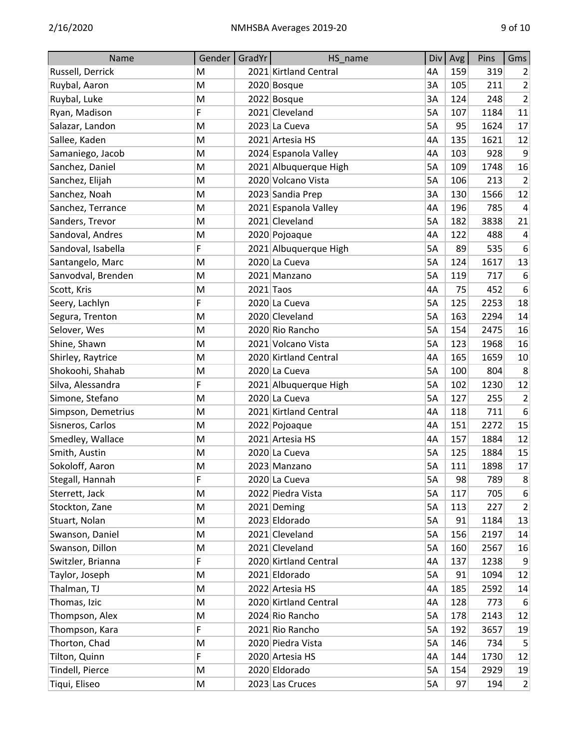| Name               | Gender | GradYr | HS_name               | Div       | Avg | Pins | Gms                         |
|--------------------|--------|--------|-----------------------|-----------|-----|------|-----------------------------|
| Russell, Derrick   | M      |        | 2021 Kirtland Central | 4A        | 159 | 319  | $\overline{2}$              |
| Ruybal, Aaron      | M      |        | 2020 Bosque           | 3A        | 105 | 211  | 2                           |
| Ruybal, Luke       | M      |        | 2022 Bosque           | 3A        | 124 | 248  | $\mathbf 2$                 |
| Ryan, Madison      | F      |        | 2021 Cleveland        | 5A        | 107 | 1184 | 11                          |
| Salazar, Landon    | M      |        | 2023 La Cueva         | <b>5A</b> | 95  | 1624 | 17                          |
| Sallee, Kaden      | M      |        | 2021 Artesia HS       | 4A        | 135 | 1621 | 12                          |
| Samaniego, Jacob   | M      |        | 2024 Espanola Valley  | 4A        | 103 | 928  | 9                           |
| Sanchez, Daniel    | M      |        | 2021 Albuquerque High | <b>5A</b> | 109 | 1748 | 16                          |
| Sanchez, Elijah    | M      |        | 2020 Volcano Vista    | 5A        | 106 | 213  | $\overline{2}$              |
| Sanchez, Noah      | M      |        | 2023 Sandia Prep      | 3A        | 130 | 1566 | 12                          |
| Sanchez, Terrance  | M      |        | 2021 Espanola Valley  | 4A        | 196 | 785  | $\pmb{4}$                   |
| Sanders, Trevor    | M      |        | 2021 Cleveland        | 5A        | 182 | 3838 | 21                          |
| Sandoval, Andres   | M      |        | 2020 Pojoaque         | 4A        | 122 | 488  | $\overline{4}$              |
| Sandoval, Isabella | F      |        | 2021 Albuquerque High | 5A        | 89  | 535  | 6                           |
| Santangelo, Marc   | M      |        | 2020 La Cueva         | <b>5A</b> | 124 | 1617 | 13                          |
| Sanvodval, Brenden | M      |        | 2021 Manzano          | 5A        | 119 | 717  | 6                           |
| Scott, Kris        | M      |        | $2021$ Taos           | 4A        | 75  | 452  | 6                           |
| Seery, Lachlyn     | F      |        | 2020 La Cueva         | <b>5A</b> | 125 | 2253 | 18                          |
| Segura, Trenton    | M      |        | 2020 Cleveland        | 5A        | 163 | 2294 | 14                          |
| Selover, Wes       | M      |        | 2020 Rio Rancho       | 5A        | 154 | 2475 | 16                          |
| Shine, Shawn       | M      |        | 2021 Volcano Vista    | 5A        | 123 | 1968 | 16                          |
| Shirley, Raytrice  | M      |        | 2020 Kirtland Central | 4A        | 165 | 1659 | 10                          |
| Shokoohi, Shahab   | M      |        | 2020 La Cueva         | <b>5A</b> | 100 | 804  | 8                           |
| Silva, Alessandra  | F      |        | 2021 Albuquerque High | 5A        | 102 | 1230 | 12                          |
| Simone, Stefano    | M      |        | 2020 La Cueva         | <b>5A</b> | 127 | 255  | $\overline{2}$              |
| Simpson, Demetrius | M      |        | 2021 Kirtland Central | 4A        | 118 | 711  | $\boldsymbol{6}$            |
| Sisneros, Carlos   | M      |        | 2022 Pojoaque         | 4A        | 151 | 2272 | 15                          |
| Smedley, Wallace   | M      |        | 2021 Artesia HS       | 4A        | 157 | 1884 | 12                          |
| Smith, Austin      | M      |        | 2020 La Cueva         | 5A        | 125 | 1884 | 15                          |
| Sokoloff, Aaron    | M      |        | 2023 Manzano          | 5A        | 111 | 1898 | 17                          |
| Stegall, Hannah    | F      |        | 2020 La Cueva         | 5A        | 98  | 789  | 8 <sup>2</sup>              |
| Sterrett, Jack     | M      |        | 2022 Piedra Vista     | 5A        | 117 | 705  | 6                           |
| Stockton, Zane     | M      |        | 2021 Deming           | 5A        | 113 | 227  | $\overline{2}$              |
| Stuart, Nolan      | M      |        | 2023 Eldorado         | 5A        | 91  | 1184 | 13                          |
| Swanson, Daniel    | M      |        | 2021 Cleveland        | 5A        | 156 | 2197 | 14                          |
| Swanson, Dillon    | M      |        | 2021 Cleveland        | 5A        | 160 | 2567 | 16                          |
| Switzler, Brianna  | F      |        | 2020 Kirtland Central | 4A        | 137 | 1238 | 9                           |
| Taylor, Joseph     | M      |        | 2021 Eldorado         | 5A        | 91  | 1094 | 12                          |
| Thalman, TJ        | M      |        | 2022 Artesia HS       | 4A        | 185 | 2592 | 14                          |
| Thomas, Izic       | M      |        | 2020 Kirtland Central | 4A        | 128 | 773  | $6\phantom{.}6$             |
| Thompson, Alex     | M      |        | 2024 Rio Rancho       | 5A        | 178 | 2143 | 12                          |
| Thompson, Kara     | F      |        | 2021 Rio Rancho       | 5A        | 192 | 3657 | 19                          |
| Thorton, Chad      | M      |        | 2020 Piedra Vista     | 5A        | 146 | 734  | $\overline{5}$              |
| Tilton, Quinn      | F      |        | 2020 Artesia HS       | 4A        | 144 | 1730 | 12                          |
| Tindell, Pierce    | M      |        | 2020 Eldorado         | 5A        | 154 | 2929 | 19                          |
| Tiqui, Eliseo      | M      |        | 2023 Las Cruces       | 5A        | 97  | 194  | $\left  \mathbf{2} \right $ |